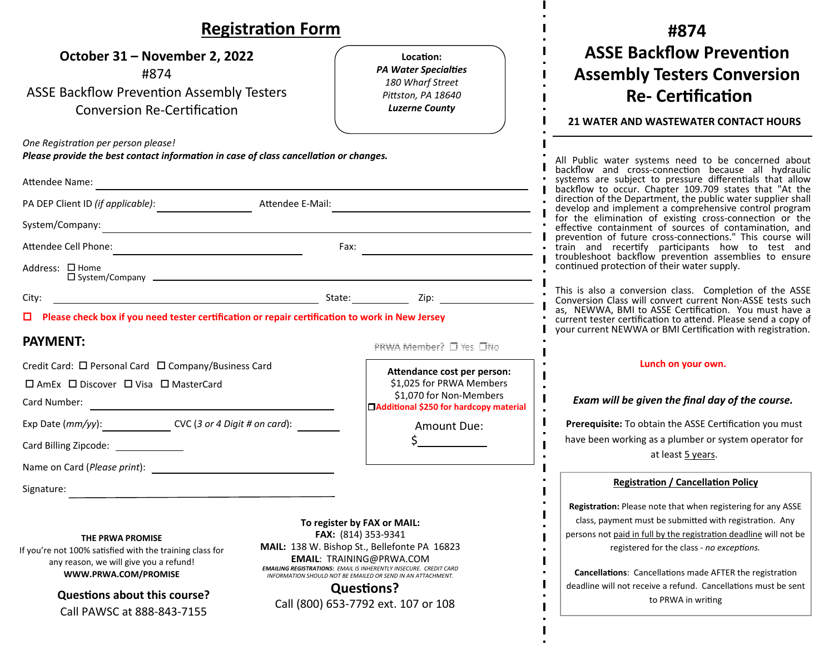| <b>Registration Form</b>                                                                                                                                                                                                                                                                                                                                                                                                                                                                                                                                            |                                                                                                                                      | #874                                                                                                                                                                                                                                                                                                                                                                                                |  |
|---------------------------------------------------------------------------------------------------------------------------------------------------------------------------------------------------------------------------------------------------------------------------------------------------------------------------------------------------------------------------------------------------------------------------------------------------------------------------------------------------------------------------------------------------------------------|--------------------------------------------------------------------------------------------------------------------------------------|-----------------------------------------------------------------------------------------------------------------------------------------------------------------------------------------------------------------------------------------------------------------------------------------------------------------------------------------------------------------------------------------------------|--|
| October 31 – November 2, 2022<br>#874<br><b>ASSE Backflow Prevention Assembly Testers</b><br><b>Conversion Re-Certification</b>                                                                                                                                                                                                                                                                                                                                                                                                                                     | Location:<br><b>PA Water Specialties</b><br>180 Wharf Street<br>Pittston, PA 18640<br><b>Luzerne County</b>                          | <b>ASSE Backflow Prevention</b><br><b>Assembly Testers Conversion</b><br><b>Re- Certification</b><br><b>21 WATER AND WASTEWATER CONTACT HOURS</b>                                                                                                                                                                                                                                                   |  |
| One Registration per person please!<br>Please provide the best contact information in case of class cancellation or changes.<br>Attendee Name:<br><u> 1989 - Johann Barbara, martxa alemaniar argumento este alemaniar alemaniar alemaniar alemaniar alemaniar al</u>                                                                                                                                                                                                                                                                                               |                                                                                                                                      | All Public water systems need to be concerned about backflow and cross-connection because all hydraulic<br>systems are subject to pressure differentials that allow<br>backflow to occur. Chapter 109.709 states that "At the<br>direction of the Department, the public water supplier shall                                                                                                       |  |
| Fax:<br>Address: □ Home                                                                                                                                                                                                                                                                                                                                                                                                                                                                                                                                             |                                                                                                                                      | develop and implement a comprehensive control program<br>for the elimination of existing cross-connection or the<br>effective containment of sources of contamination, and<br>prevention of future cross-connections." This course will<br>train and recertify participants how to test and<br>troubleshoot backflow prevention assemblies to ensure<br>continued protection of their water supply. |  |
| City:<br>$\Box$ Please check box if you need tester certification or repair certification to work in New Jersey<br><b>PAYMENT:</b>                                                                                                                                                                                                                                                                                                                                                                                                                                  | PRWA Member? □ Yes □No                                                                                                               | This is also a conversion class. Completion of the ASSE<br>Conversion Class will convert current Non-ASSE tests such<br>as, NEWWA, BMI to ASSE Certification. You must have a<br>current tester certification to attend. Please send a copy of<br>your current NEWWA or BMI Certification with registration.                                                                                        |  |
| Credit Card: □ Personal Card □ Company/Business Card<br>□ AmEx □ Discover □ Visa □ MasterCard<br>Card Number:<br><u> 1989 - Johann Barbara, martin amerikan basar dan basa dan basa dan basa dalam basa dalam basa dalam basa dala</u>                                                                                                                                                                                                                                                                                                                              | Attendance cost per person:<br>\$1,025 for PRWA Members<br>\$1,070 for Non-Members<br><b>CAdditional \$250 for hardcopy material</b> | Lunch on your own.<br>Exam will be given the final day of the course.                                                                                                                                                                                                                                                                                                                               |  |
| Card Billing Zipcode: _____________<br>Name on Card (Please print):                                                                                                                                                                                                                                                                                                                                                                                                                                                                                                 | Amount Due:                                                                                                                          | Prerequisite: To obtain the ASSE Certification you must<br>have been working as a plumber or system operator for<br>at least 5 years.                                                                                                                                                                                                                                                               |  |
| Signature:                                                                                                                                                                                                                                                                                                                                                                                                                                                                                                                                                          |                                                                                                                                      | <b>Registration / Cancellation Policy</b><br>Registration: Please note that when registering for any ASSE                                                                                                                                                                                                                                                                                           |  |
| To register by FAX or MAIL:<br>FAX: (814) 353-9341<br>THE PRWA PROMISE<br>MAIL: 138 W. Bishop St., Bellefonte PA 16823<br>If you're not 100% satisfied with the training class for<br><b>EMAIL: TRAINING@PRWA.COM</b><br>any reason, we will give you a refund!<br><b>EMAILING REGISTRATIONS: EMAIL IS INHERENTLY INSECURE. CREDIT CARD</b><br>WWW.PRWA.COM/PROMISE<br>INFORMATION SHOULD NOT BE EMAILED OR SEND IN AN ATTACHMENT.<br><b>Questions?</b><br><b>Questions about this course?</b><br>Call (800) 653-7792 ext. 107 or 108<br>Call PAWSC at 888-843-7155 |                                                                                                                                      | class, payment must be submitted with registration. Any<br>persons not paid in full by the registration deadline will not be<br>registered for the class - no exceptions.<br><b>Cancellations:</b> Cancellations made AFTER the registration<br>deadline will not receive a refund. Cancellations must be sent<br>to PRWA in writing                                                                |  |